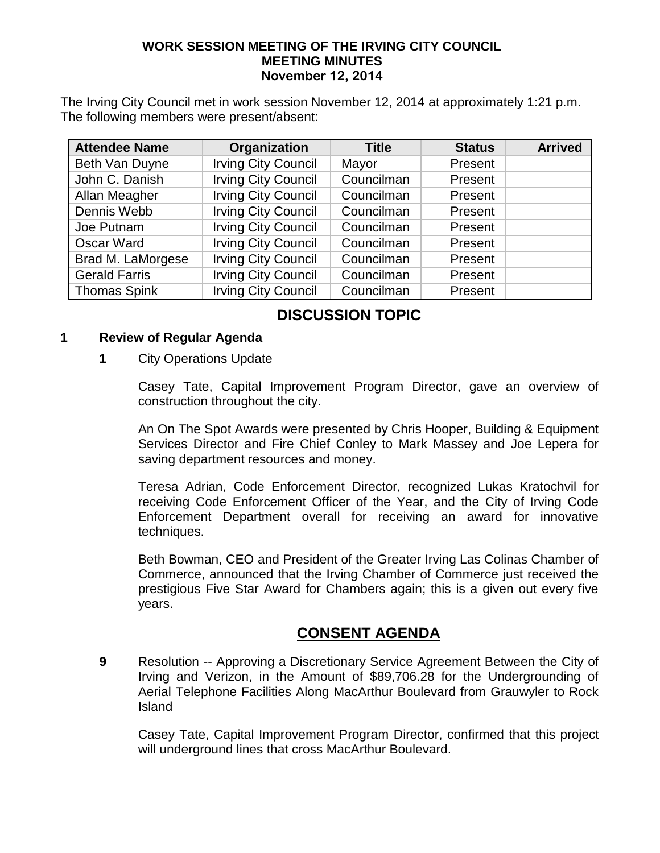#### **WORK SESSION MEETING OF THE IRVING CITY COUNCIL MEETING MINUTES November 12, 2014**

The Irving City Council met in work session November 12, 2014 at approximately 1:21 p.m. The following members were present/absent:

| <b>Attendee Name</b> | Organization               | <b>Title</b> | <b>Status</b> | <b>Arrived</b> |
|----------------------|----------------------------|--------------|---------------|----------------|
| Beth Van Duyne       | <b>Irving City Council</b> | Mayor        | Present       |                |
| John C. Danish       | <b>Irving City Council</b> | Councilman   | Present       |                |
| Allan Meagher        | <b>Irving City Council</b> | Councilman   | Present       |                |
| Dennis Webb          | <b>Irving City Council</b> | Councilman   | Present       |                |
| Joe Putnam           | <b>Irving City Council</b> | Councilman   | Present       |                |
| Oscar Ward           | <b>Irving City Council</b> | Councilman   | Present       |                |
| Brad M. LaMorgese    | <b>Irving City Council</b> | Councilman   | Present       |                |
| <b>Gerald Farris</b> | <b>Irving City Council</b> | Councilman   | Present       |                |
| <b>Thomas Spink</b>  | <b>Irving City Council</b> | Councilman   | Present       |                |

# **DISCUSSION TOPIC**

### **1 Review of Regular Agenda**

### **1** City Operations Update

Casey Tate, Capital Improvement Program Director, gave an overview of construction throughout the city.

An On The Spot Awards were presented by Chris Hooper, Building & Equipment Services Director and Fire Chief Conley to Mark Massey and Joe Lepera for saving department resources and money.

Teresa Adrian, Code Enforcement Director, recognized Lukas Kratochvil for receiving Code Enforcement Officer of the Year, and the City of Irving Code Enforcement Department overall for receiving an award for innovative techniques.

Beth Bowman, CEO and President of the Greater Irving Las Colinas Chamber of Commerce, announced that the Irving Chamber of Commerce just received the prestigious Five Star Award for Chambers again; this is a given out every five years.

### **CONSENT AGENDA**

**9** Resolution -- Approving a Discretionary Service Agreement Between the City of Irving and Verizon, in the Amount of \$89,706.28 for the Undergrounding of Aerial Telephone Facilities Along MacArthur Boulevard from Grauwyler to Rock Island

Casey Tate, Capital Improvement Program Director, confirmed that this project will underground lines that cross MacArthur Boulevard.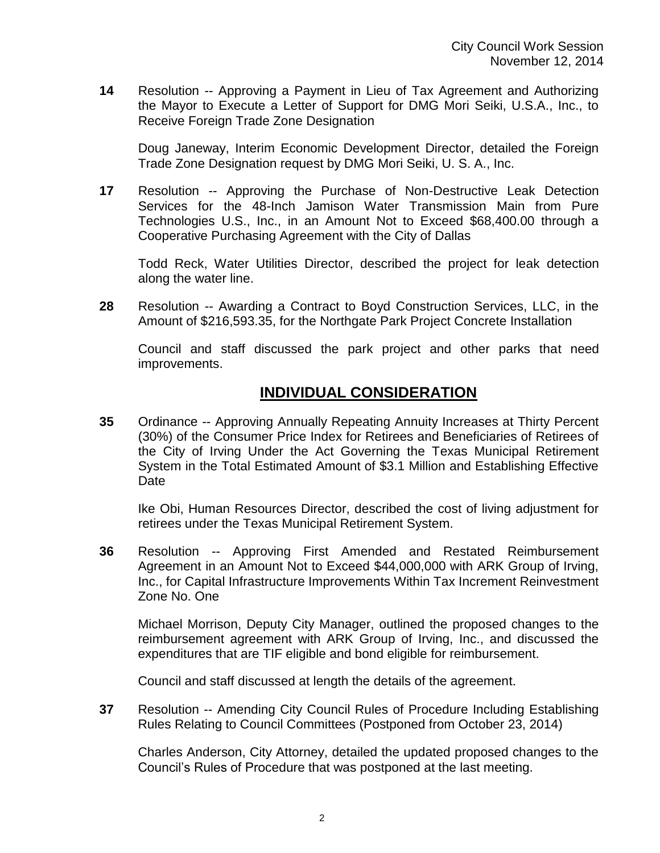**14** Resolution -- Approving a Payment in Lieu of Tax Agreement and Authorizing the Mayor to Execute a Letter of Support for DMG Mori Seiki, U.S.A., Inc., to Receive Foreign Trade Zone Designation

Doug Janeway, Interim Economic Development Director, detailed the Foreign Trade Zone Designation request by DMG Mori Seiki, U. S. A., Inc.

**17** Resolution -- Approving the Purchase of Non-Destructive Leak Detection Services for the 48-Inch Jamison Water Transmission Main from Pure Technologies U.S., Inc., in an Amount Not to Exceed \$68,400.00 through a Cooperative Purchasing Agreement with the City of Dallas

Todd Reck, Water Utilities Director, described the project for leak detection along the water line.

**28** Resolution -- Awarding a Contract to Boyd Construction Services, LLC, in the Amount of \$216,593.35, for the Northgate Park Project Concrete Installation

Council and staff discussed the park project and other parks that need improvements.

### **INDIVIDUAL CONSIDERATION**

**35** Ordinance -- Approving Annually Repeating Annuity Increases at Thirty Percent (30%) of the Consumer Price Index for Retirees and Beneficiaries of Retirees of the City of Irving Under the Act Governing the Texas Municipal Retirement System in the Total Estimated Amount of \$3.1 Million and Establishing Effective Date

Ike Obi, Human Resources Director, described the cost of living adjustment for retirees under the Texas Municipal Retirement System.

**36** Resolution -- Approving First Amended and Restated Reimbursement Agreement in an Amount Not to Exceed \$44,000,000 with ARK Group of Irving, Inc., for Capital Infrastructure Improvements Within Tax Increment Reinvestment Zone No. One

Michael Morrison, Deputy City Manager, outlined the proposed changes to the reimbursement agreement with ARK Group of Irving, Inc., and discussed the expenditures that are TIF eligible and bond eligible for reimbursement.

Council and staff discussed at length the details of the agreement.

**37** Resolution -- Amending City Council Rules of Procedure Including Establishing Rules Relating to Council Committees (Postponed from October 23, 2014)

Charles Anderson, City Attorney, detailed the updated proposed changes to the Council's Rules of Procedure that was postponed at the last meeting.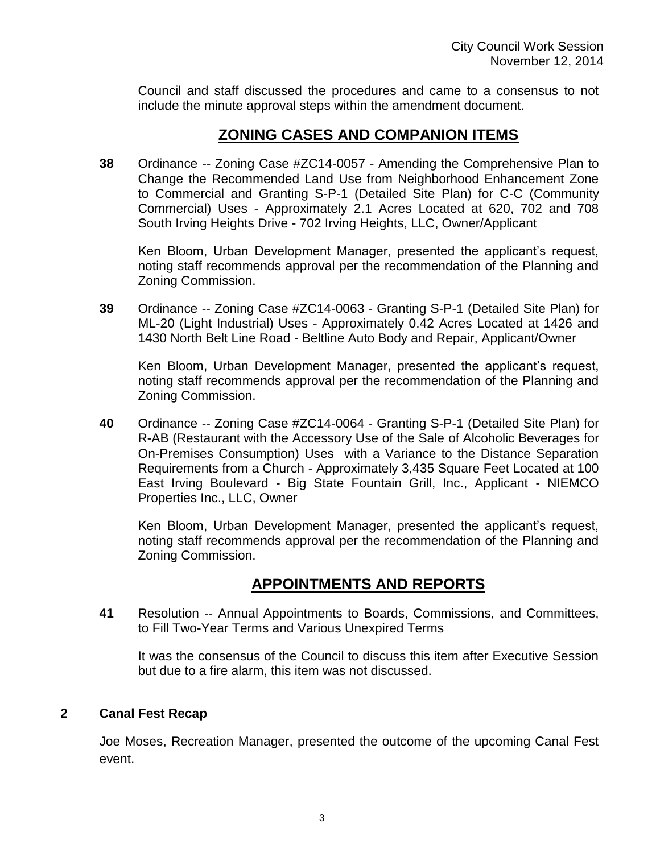Council and staff discussed the procedures and came to a consensus to not include the minute approval steps within the amendment document.

## **ZONING CASES AND COMPANION ITEMS**

**38** Ordinance -- Zoning Case #ZC14-0057 - Amending the Comprehensive Plan to Change the Recommended Land Use from Neighborhood Enhancement Zone to Commercial and Granting S-P-1 (Detailed Site Plan) for C-C (Community Commercial) Uses - Approximately 2.1 Acres Located at 620, 702 and 708 South Irving Heights Drive - 702 Irving Heights, LLC, Owner/Applicant

Ken Bloom, Urban Development Manager, presented the applicant's request, noting staff recommends approval per the recommendation of the Planning and Zoning Commission.

**39** Ordinance -- Zoning Case #ZC14-0063 - Granting S-P-1 (Detailed Site Plan) for ML-20 (Light Industrial) Uses - Approximately 0.42 Acres Located at 1426 and 1430 North Belt Line Road - Beltline Auto Body and Repair, Applicant/Owner

Ken Bloom, Urban Development Manager, presented the applicant's request, noting staff recommends approval per the recommendation of the Planning and Zoning Commission.

**40** Ordinance -- Zoning Case #ZC14-0064 - Granting S-P-1 (Detailed Site Plan) for R-AB (Restaurant with the Accessory Use of the Sale of Alcoholic Beverages for On-Premises Consumption) Uses with a Variance to the Distance Separation Requirements from a Church - Approximately 3,435 Square Feet Located at 100 East Irving Boulevard - Big State Fountain Grill, Inc., Applicant - NIEMCO Properties Inc., LLC, Owner

Ken Bloom, Urban Development Manager, presented the applicant's request, noting staff recommends approval per the recommendation of the Planning and Zoning Commission.

### **APPOINTMENTS AND REPORTS**

**41** Resolution -- Annual Appointments to Boards, Commissions, and Committees, to Fill Two-Year Terms and Various Unexpired Terms

It was the consensus of the Council to discuss this item after Executive Session but due to a fire alarm, this item was not discussed.

### **2 Canal Fest Recap**

Joe Moses, Recreation Manager, presented the outcome of the upcoming Canal Fest event.